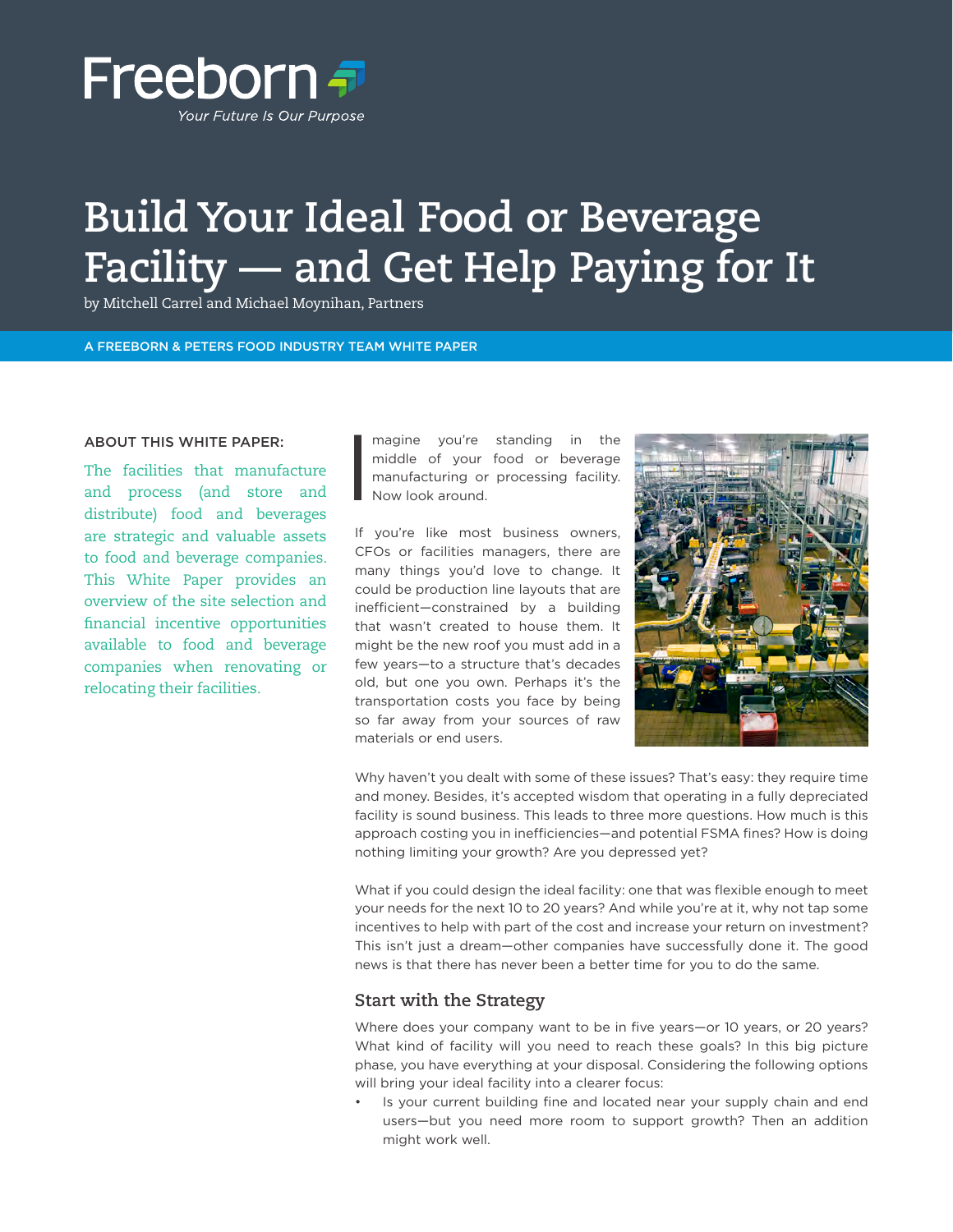

# **Build Your Ideal Food or Beverage Facility — and Get Help Paying for It**

by Mitchell Carrel and Michael Moynihan, Partners

#### A FREEBORN & PETERS FOOD INDUSTRY TEAM WHITE PAPER

#### ABOUT THIS WHITE PAPER:

The facilities that manufacture and process (and store and distribute) food and beverages are strategic and valuable assets to food and beverage companies. This White Paper provides an overview of the site selection and financial incentive opportunities available to food and beverage companies when renovating or relocating their facilities.

I magine you're standing in the middle of your food or beverage manufacturing or processing facility. Now look around.

If you're like most business owners, CFOs or facilities managers, there are many things you'd love to change. It could be production line layouts that are inefficient—constrained by a building that wasn't created to house them. It might be the new roof you must add in a few years—to a structure that's decades old, but one you own. Perhaps it's the transportation costs you face by being so far away from your sources of raw materials or end users.



Why haven't you dealt with some of these issues? That's easy: they require time and money. Besides, it's accepted wisdom that operating in a fully depreciated facility is sound business. This leads to three more questions. How much is this approach costing you in inefficiencies—and potential FSMA fines? How is doing nothing limiting your growth? Are you depressed yet?

What if you could design the ideal facility: one that was flexible enough to meet your needs for the next 10 to 20 years? And while you're at it, why not tap some incentives to help with part of the cost and increase your return on investment? This isn't just a dream—other companies have successfully done it. The good news is that there has never been a better time for you to do the same.

#### **Start with the Strategy**

Where does your company want to be in five years—or 10 years, or 20 years? What kind of facility will you need to reach these goals? In this big picture phase, you have everything at your disposal. Considering the following options will bring your ideal facility into a clearer focus:

Is your current building fine and located near your supply chain and end users—but you need more room to support growth? Then an addition might work well.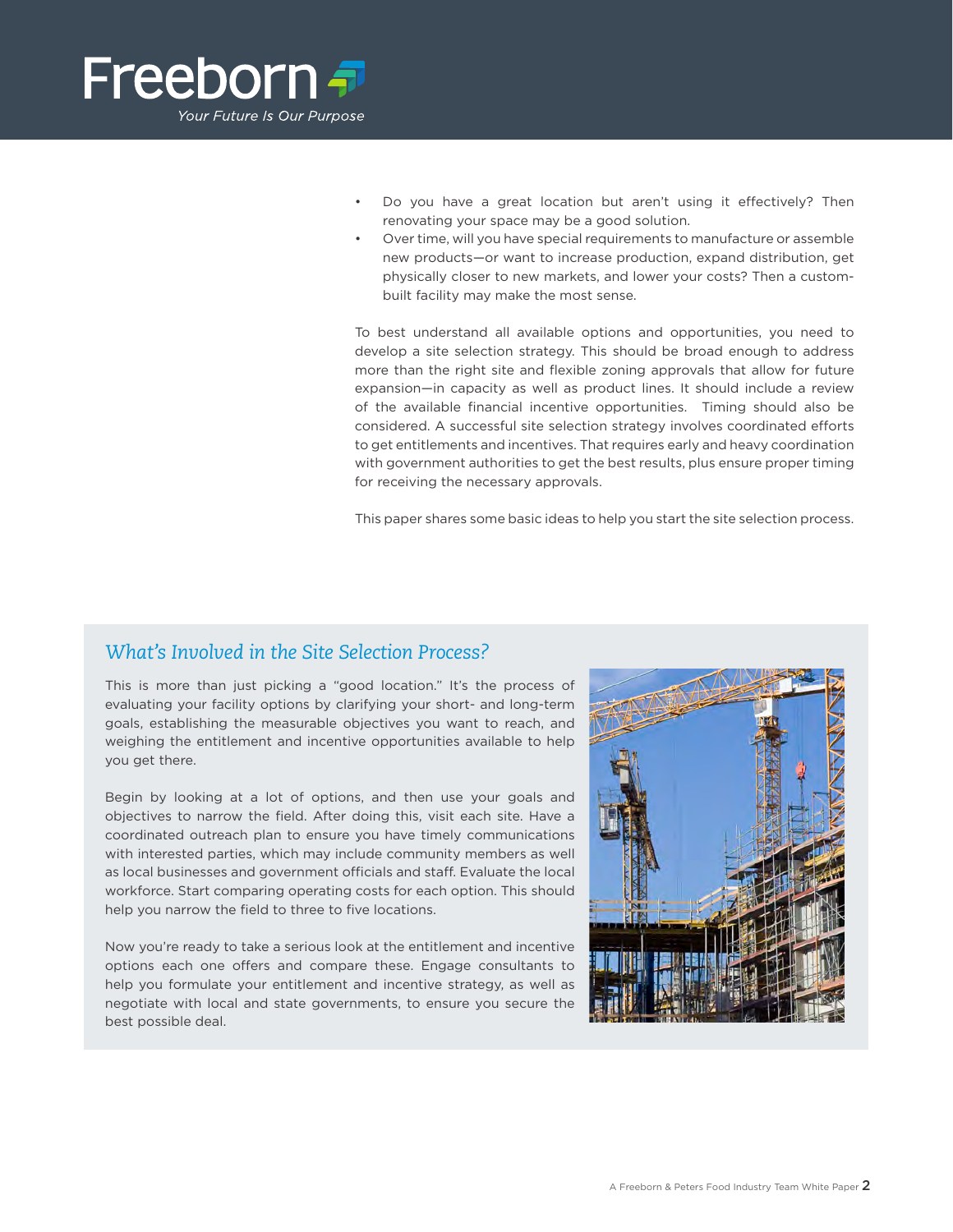

- Do you have a great location but aren't using it effectively? Then renovating your space may be a good solution.
- Over time, will you have special requirements to manufacture or assemble new products—or want to increase production, expand distribution, get physically closer to new markets, and lower your costs? Then a custombuilt facility may make the most sense.

To best understand all available options and opportunities, you need to develop a site selection strategy. This should be broad enough to address more than the right site and flexible zoning approvals that allow for future expansion—in capacity as well as product lines. It should include a review of the available financial incentive opportunities. Timing should also be considered. A successful site selection strategy involves coordinated efforts to get entitlements and incentives. That requires early and heavy coordination with government authorities to get the best results, plus ensure proper timing for receiving the necessary approvals.

This paper shares some basic ideas to help you start the site selection process.

### *What's Involved in the Site Selection Process?*

This is more than just picking a "good location." It's the process of evaluating your facility options by clarifying your short- and long-term goals, establishing the measurable objectives you want to reach, and weighing the entitlement and incentive opportunities available to help you get there.

Begin by looking at a lot of options, and then use your goals and objectives to narrow the field. After doing this, visit each site. Have a coordinated outreach plan to ensure you have timely communications with interested parties, which may include community members as well as local businesses and government officials and staff. Evaluate the local workforce. Start comparing operating costs for each option. This should help you narrow the field to three to five locations.

Now you're ready to take a serious look at the entitlement and incentive options each one offers and compare these. Engage consultants to help you formulate your entitlement and incentive strategy, as well as negotiate with local and state governments, to ensure you secure the best possible deal.

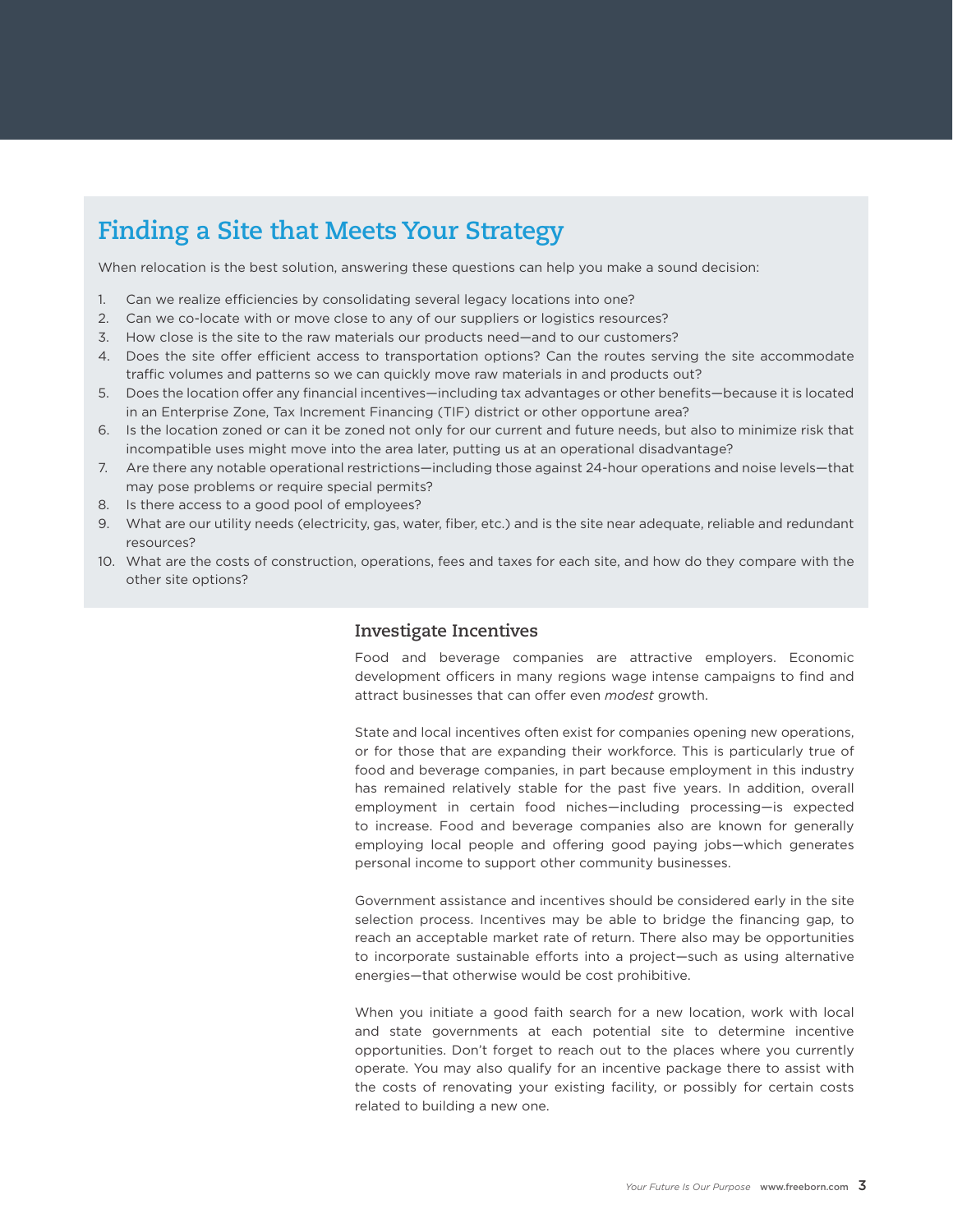### **Finding a Site that Meets Your Strategy**

When relocation is the best solution, answering these questions can help you make a sound decision:

- 1. Can we realize efficiencies by consolidating several legacy locations into one?
- 2. Can we co-locate with or move close to any of our suppliers or logistics resources?
- 3. How close is the site to the raw materials our products need—and to our customers?
- 4. Does the site offer efficient access to transportation options? Can the routes serving the site accommodate traffic volumes and patterns so we can quickly move raw materials in and products out?
- 5. Does the location offer any financial incentives—including tax advantages or other benefits—because it is located in an Enterprise Zone, Tax Increment Financing (TIF) district or other opportune area?
- 6. Is the location zoned or can it be zoned not only for our current and future needs, but also to minimize risk that incompatible uses might move into the area later, putting us at an operational disadvantage?
- 7. Are there any notable operational restrictions—including those against 24-hour operations and noise levels—that may pose problems or require special permits?
- 8. Is there access to a good pool of employees?
- 9. What are our utility needs (electricity, gas, water, fiber, etc.) and is the site near adequate, reliable and redundant resources?
- 10. What are the costs of construction, operations, fees and taxes for each site, and how do they compare with the other site options?

#### **Investigate Incentives**

Food and beverage companies are attractive employers. Economic development officers in many regions wage intense campaigns to find and attract businesses that can offer even *modest* growth.

State and local incentives often exist for companies opening new operations, or for those that are expanding their workforce. This is particularly true of food and beverage companies, in part because employment in this industry has remained relatively stable for the past five years. In addition, overall employment in certain food niches—including processing—is expected to increase. Food and beverage companies also are known for generally employing local people and offering good paying jobs—which generates personal income to support other community businesses.

Government assistance and incentives should be considered early in the site selection process. Incentives may be able to bridge the financing gap, to reach an acceptable market rate of return. There also may be opportunities to incorporate sustainable efforts into a project—such as using alternative energies—that otherwise would be cost prohibitive.

When you initiate a good faith search for a new location, work with local and state governments at each potential site to determine incentive opportunities. Don't forget to reach out to the places where you currently operate. You may also qualify for an incentive package there to assist with the costs of renovating your existing facility, or possibly for certain costs related to building a new one.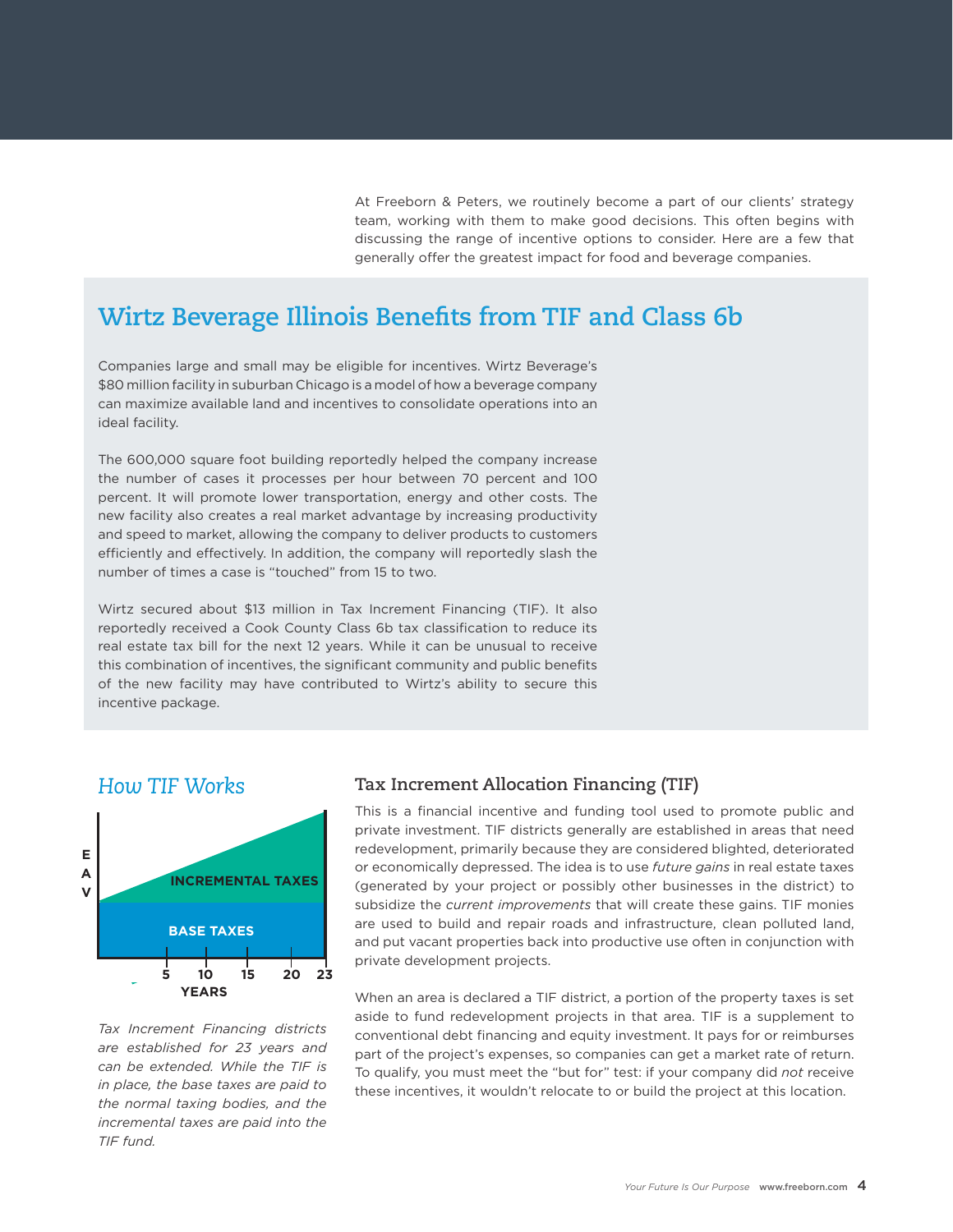At Freeborn & Peters, we routinely become a part of our clients' strategy team, working with them to make good decisions. This often begins with discussing the range of incentive options to consider. Here are a few that generally offer the greatest impact for food and beverage companies.

### **Wirtz Beverage Illinois Benefits from TIF and Class 6b**

Companies large and small may be eligible for incentives. Wirtz Beverage's \$80 million facility in suburban Chicago is a model of how a beverage company can maximize available land and incentives to consolidate operations into an ideal facility.

The 600,000 square foot building reportedly helped the company increase the number of cases it processes per hour between 70 percent and 100 percent. It will promote lower transportation, energy and other costs. The new facility also creates a real market advantage by increasing productivity and speed to market, allowing the company to deliver products to customers efficiently and effectively. In addition, the company will reportedly slash the number of times a case is "touched" from 15 to two.

Wirtz secured about \$13 million in Tax Increment Financing (TIF). It also reportedly received a Cook County Class 6b tax classification to reduce its real estate tax bill for the next 12 years. While it can be unusual to receive this combination of incentives, the significant community and public benefits of the new facility may have contributed to Wirtz's ability to secure this incentive package.

#### *How TIF Works*



*Tax Increment Financing districts are established for 23 years and can be extended. While the TIF is in place, the base taxes are paid to the normal taxing bodies, and the incremental taxes are paid into the TIF fund.*

#### **Tax Increment Allocation Financing (TIF)**

This is a financial incentive and funding tool used to promote public and private investment. TIF districts generally are established in areas that need redevelopment, primarily because they are considered blighted, deteriorated or economically depressed. The idea is to use *future gains* in real estate taxes (generated by your project or possibly other businesses in the district) to subsidize the *current improvements* that will create these gains. TIF monies are used to build and repair roads and infrastructure, clean polluted land, and put vacant properties back into productive use often in conjunction with private development projects.

When an area is declared a TIF district, a portion of the property taxes is set aside to fund redevelopment projects in that area. TIF is a supplement to conventional debt financing and equity investment. It pays for or reimburses part of the project's expenses, so companies can get a market rate of return. To qualify, you must meet the "but for" test: if your company did *not* receive these incentives, it wouldn't relocate to or build the project at this location.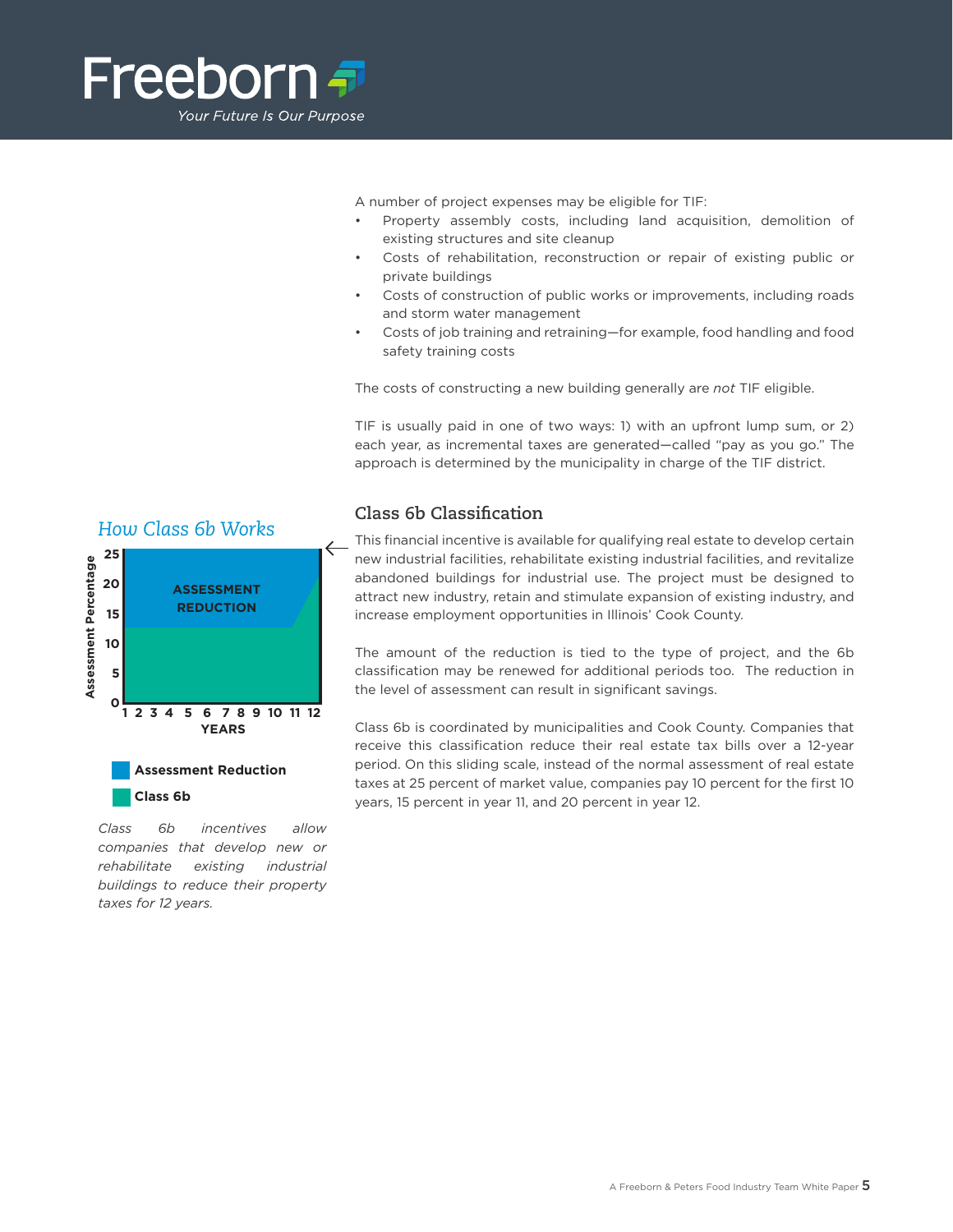

A number of project expenses may be eligible for TIF:

- Property assembly costs, including land acquisition, demolition of existing structures and site cleanup
- Costs of rehabilitation, reconstruction or repair of existing public or private buildings
- Costs of construction of public works or improvements, including roads and storm water management
- Costs of job training and retraining—for example, food handling and food safety training costs

The costs of constructing a new building generally are *not* TIF eligible.

TIF is usually paid in one of two ways: 1) with an upfront lump sum, or 2) each year, as incremental taxes are generated—called "pay as you go." The approach is determined by the municipality in charge of the TIF district.

#### **Class 6b Classification**

This financial incentive is available for qualifying real estate to develop certain new industrial facilities, rehabilitate existing industrial facilities, and revitalize abandoned buildings for industrial use. The project must be designed to attract new industry, retain and stimulate expansion of existing industry, and increase employment opportunities in Illinois' Cook County.

The amount of the reduction is tied to the type of project, and the 6b classification may be renewed for additional periods too. The reduction in the level of assessment can result in significant savings.

Class 6b is coordinated by municipalities and Cook County. Companies that receive this classification reduce their real estate tax bills over a 12-year period. On this sliding scale, instead of the normal assessment of real estate taxes at 25 percent of market value, companies pay 10 percent for the first 10 years, 15 percent in year 11, and 20 percent in year 12.

*Class 6b incentives allow companies that develop new or rehabilitate existing industrial buildings to reduce their property taxes for 12 years.*

**Class 6b**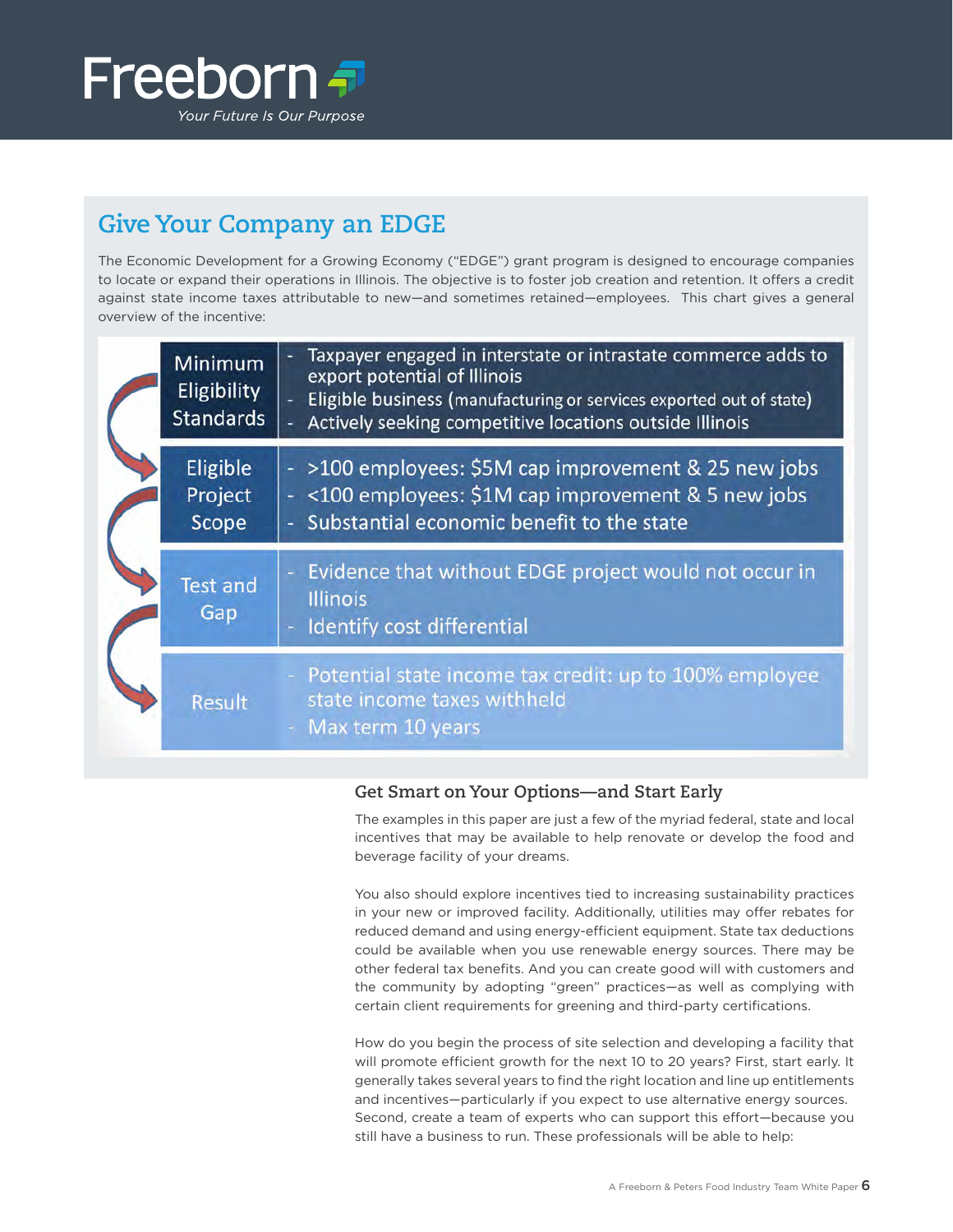

## **Give Your Company an EDGE**

The Economic Development for a Growing Economy ("EDGE") grant program is designed to encourage companies to locate or expand their operations in Illinois. The objective is to foster job creation and retention. It offers a credit against state income taxes attributable to new—and sometimes retained—employees. This chart gives a general overview of the incentive:

|  | <b>Minimum</b><br><b>Eligibility</b><br><b>Standards</b> | Taxpayer engaged in interstate or intrastate commerce adds to<br>export potential of Illinois<br>Eligible business (manufacturing or services exported out of state)<br>Actively seeking competitive locations outside Illinois |
|--|----------------------------------------------------------|---------------------------------------------------------------------------------------------------------------------------------------------------------------------------------------------------------------------------------|
|  | Eligible<br>Project<br>Scope                             | - >100 employees: \$5M cap improvement & 25 new jobs<br><100 employees: \$1M cap improvement & 5 new jobs<br>Substantial economic benefit to the state                                                                          |
|  | <b>Test and</b><br>Gap                                   | Evidence that without EDGE project would not occur in<br>÷<br><b>Illinois</b><br>Identify cost differential                                                                                                                     |
|  | <b>Result</b>                                            | Potential state income tax credit: up to 100% employee<br>state income taxes withheld<br>Max term 10 years                                                                                                                      |

#### **Get Smart on Your Options—and Start Early**

The examples in this paper are just a few of the myriad federal, state and local incentives that may be available to help renovate or develop the food and beverage facility of your dreams.

You also should explore incentives tied to increasing sustainability practices in your new or improved facility. Additionally, utilities may offer rebates for reduced demand and using energy-efficient equipment. State tax deductions could be available when you use renewable energy sources. There may be other federal tax benefits. And you can create good will with customers and the community by adopting "green" practices—as well as complying with certain client requirements for greening and third-party certifications.

How do you begin the process of site selection and developing a facility that will promote efficient growth for the next 10 to 20 years? First, start early. It generally takes several years to find the right location and line up entitlements and incentives—particularly if you expect to use alternative energy sources. Second, create a team of experts who can support this effort—because you still have a business to run. These professionals will be able to help: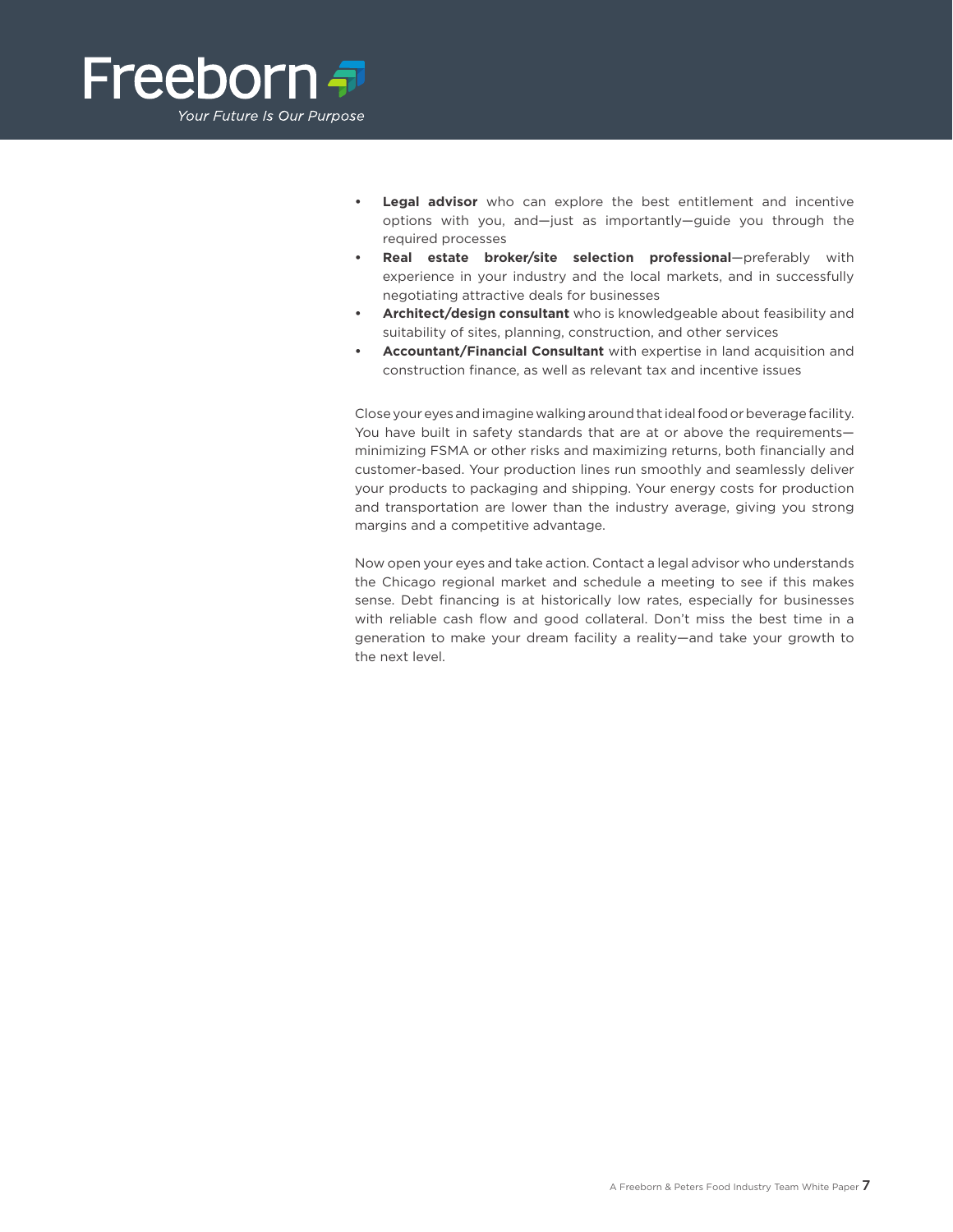

- **Legal advisor** who can explore the best entitlement and incentive options with you, and—just as importantly—guide you through the required processes
- Real estate broker/site selection professional-preferably with experience in your industry and the local markets, and in successfully negotiating attractive deals for businesses
- Architect/design consultant who is knowledgeable about feasibility and suitability of sites, planning, construction, and other services
- **Accountant/Financial Consultant** with expertise in land acquisition and construction finance, as well as relevant tax and incentive issues

Close your eyes and imagine walking around that ideal food or beverage facility. You have built in safety standards that are at or above the requirements minimizing FSMA or other risks and maximizing returns, both financially and customer-based. Your production lines run smoothly and seamlessly deliver your products to packaging and shipping. Your energy costs for production and transportation are lower than the industry average, giving you strong margins and a competitive advantage.

Now open your eyes and take action. Contact a legal advisor who understands the Chicago regional market and schedule a meeting to see if this makes sense. Debt financing is at historically low rates, especially for businesses with reliable cash flow and good collateral. Don't miss the best time in a generation to make your dream facility a reality—and take your growth to the next level.